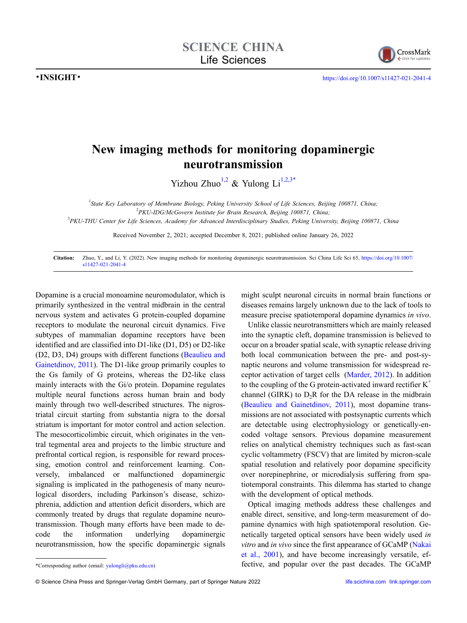

• INSIGHT •  $\frac{https://doi.org/10.1007/s11427-021-2041-41}{https://doi.org/10.1007/s11427-021-2041-41}$  $\frac{https://doi.org/10.1007/s11427-021-2041-41}{https://doi.org/10.1007/s11427-021-2041-41}$  $\frac{https://doi.org/10.1007/s11427-021-2041-41}{https://doi.org/10.1007/s11427-021-2041-41}$ 

## **New imaging methods for monitoring dopaminergic neurotransmission**

Yizhou Zhuo<sup>[1,](#page-0-0)[2](#page-0-1)</sup> & Yulong Li<sup>1,[2,](#page-0-1)[3](#page-0-2)[\\*](#page-0-3)</sup>

<span id="page-0-2"></span><span id="page-0-1"></span><span id="page-0-0"></span>1 *State Key Laboratory of Membrane Biology, Peking University School of Life Sciences, Beijing 100871, China;* 2 *PKU-IDG/McGovern Institute for Brain Research, Beijing 100871, China;* <sup>3</sup>PKU-THU Center for Life Sciences, Academy for Advanced Interdisciplinary Studies, Peking University, Beijing 100871, China

Received November 2, 2021; accepted December 8, 2021; published online January 26, 2022

**Citation:** Zhuo, Y., and Li, Y. (2022). New imaging methods for monitoring dopaminergic neurotransmission. Sci China Life Sci 65, [https://doi.org/10.1007/](https://doi.org/10.1007/s11427-021-2041-4) [s11427-021-2041-4](https://doi.org/10.1007/s11427-021-2041-4)

Dopamine is a crucial monoamine neuromodulator, which is primarily synthesized in the ventral midbrain in the central nervous system and activates G protein-coupled dopamine receptors to modulate the neuronal circuit dynamics. Five subtypes of mammalian dopamine receptors have been identified and are classified into D1-like (D1, D5) or D2-like (D2, D3, D4) groups with different functions [\(Beaulieu](#page-3-0) and [Gainetdinov,](#page-3-0) 2011). The D1-like group primarily couples to the Gs family of G proteins, whereas the D2-like class mainly interacts with the Gi/o protein. Dopamine regulates multiple neural functions across human brain and body mainly through two well-described structures. The nigrostriatal circuit starting from substantia nigra to the dorsal striatum is important for motor control and action selection. The mesocorticolimbic circuit, which originates in the ventral tegmental area and projects to the limbic structure and prefrontal cortical region, is responsible for reward processing, emotion control and reinforcement learning. Conversely, imbalanced or malfunctioned dopaminergic signaling is implicated in the pathogenesis of many neurological disorders, including Parkinson's disease, schizophrenia, addiction and attention deficit disorders, which are commonly treated by drugs that regulate dopamine neurotransmission. Though many efforts have been made to decode the information underlying dopaminergic neurotransmission, how the specific dopaminergic signals might sculpt neuronal circuits in normal brain functions or diseases remains largely unknown due to the lack of tools to measure precise spatiotemporal dopamine dynamics *in vivo*.

Unlike classic neurotransmitters which are mainly released into the synaptic cleft, dopamine transmission is believed to occur on a broader spatial scale, with synaptic release driving both local communication between the pre- and post-synaptic neurons and volume transmission for widespread receptor activation of target cells ([Marder,](#page-3-0) 2012). In addition to the coupling of the G protein-activated inward rectifier  $K^+$ channel (GIRK) to  $D_2R$  for the DA release in the midbrain (Beaulieu and [Gainetdinov,](#page-3-0) 2011), most dopamine transmissions are not associated with postsynaptic currents which are detectable using electrophysiology or genetically-encoded voltage sensors. Previous dopamine measurement relies on analytical chemistry techniques such as fast-scan cyclic voltammetry (FSCV) that are limited by micron-scale spatial resolution and relatively poor dopamine specificity over norepinephrine, or microdialysis suffering from spatiotemporal constraints. This dilemma has started to change with the development of optical methods.

Optical imaging methods address these challenges and enable direct, sensitive, and long-term measurement of dopamine dynamics with high spatiotemporal resolution. Genetically targeted optical sensors have been widely used *in vitro* and *in vivo* since the first appearance of GCaMP [\(Nakai](#page-3-0) et al., [2001](#page-3-0)), and have become increasingly versatile, effective, and popular over the past decades. The GCaMP

<span id="page-0-3"></span><sup>\*</sup>Corresponding author (email: yulongli@pku.edu.cn)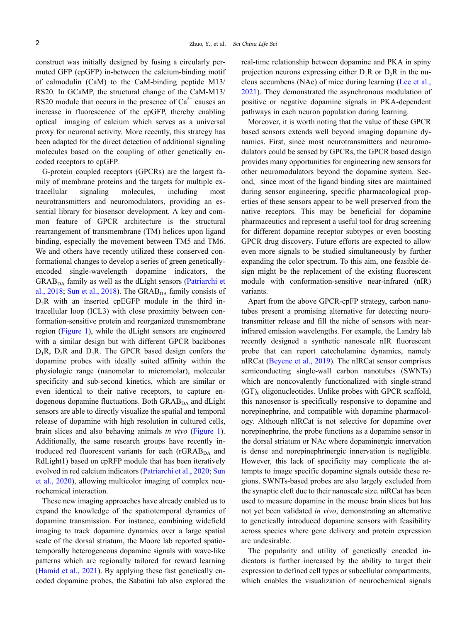construct was initially designed by fusing a circularly permuted GFP (cpGFP) in-between the calcium-binding motif of calmodulin (CaM) to the CaM-binding peptide M13/ RS20. In GCaMP, the structural change of the CaM-M13/ RS20 module that occurs in the presence of  $Ca^{2+}$  causes an increase in fluorescence of the cpGFP, thereby enabling optical imaging of calcium which serves as a universal proxy for neuronal activity. More recently, this strategy has been adapted for the direct detection of additional signaling molecules based on the coupling of other genetically encoded receptors to cpGFP.

G-protein coupled receptors (GPCRs) are the largest family of membrane proteins and the targets for multiple extracellular signaling molecules, including most neurotransmitters and neuromodulators, providing an essential library for biosensor development. A key and common feature of GPCR architecture is the structural rearrangement of transmembrane (TM) helices upon ligand binding, especially the movement between TM5 and TM6. We and others have recently utilized these conserved conformational changes to develop a series of green geneticallyencoded single-wavelength dopamine indicators, the GRAB<sub>DA</sub> family as well as the dLight sensors [\(Patriarchi](#page-3-1) et al., [2018](#page-3-2); Sun et al., 2018). The  $GRAB<sub>DA</sub>$  family consists of  $D_2R$  with an inserted cpEGFP module in the third intracellular loop (ICL3) with close proximity between conformation-sensitive protein and reorganized transmembrane region ([Figure](#page-2-0) 1), while the dLight sensors are engineered with a similar design but with different GPCR backbones  $D_1R$ ,  $D_2R$  and  $D_4R$ . The GPCR based design confers the dopamine probes with ideally suited affinity within the physiologic range (nanomolar to micromolar), molecular specificity and sub-second kinetics, which are similar or even identical to their native receptors, to capture endogenous dopamine fluctuations. Both GRAB<sub>DA</sub> and dLight sensors are able to directly visualize the spatial and temporal release of dopamine with high resolution in cultured cells, brain slices and also behaving animals *in vivo* [\(Figure](#page-2-0) 1). Additionally, the same research groups have recently introduced red fluorescent variants for each  $(rGRAB<sub>DA</sub>$  and RdLight1) based on cpRFP module that has been iteratively evolved in red calcium indicators [\(Patriarchi](#page-3-3) et al., 2020; [Sun](#page-3-4) et al., [2020\)](#page-3-4), allowing multicolor imaging of complex neurochemical interaction.

These new imaging approaches have already enabled us to expand the knowledge of the spatiotemporal dynamics of dopamine transmission. For instance, combining widefield imaging to track dopamine dynamics over a large spatial scale of the dorsal striatum, the Moore lab reported spatiotemporally heterogeneous dopamine signals with wave-like patterns which are regionally tailored for reward learning ([Hamid](#page-3-5) et al., 2021). By applying these fast genetically encoded dopamine probes, the Sabatini lab also explored the real-time relationship between dopamine and PKA in spiny projection neurons expressing either  $D_1R$  or  $D_2R$  in the nucleus accumbens (NAc) of mice during learning [\(Lee](#page-3-6) et al., [2021\)](#page-3-6). They demonstrated the asynchronous modulation of positive or negative dopamine signals in PKA-dependent pathways in each neuron population during learning.

Moreover, it is worth noting that the value of these GPCR based sensors extends well beyond imaging dopamine dynamics. First, since most neurotransmitters and neuromodulators could be sensed by GPCRs, the GPCR based design provides many opportunities for engineering new sensors for other neuromodulators beyond the dopamine system. Second, since most of the ligand binding sites are maintained during sensor engineering, specific pharmacological properties of these sensors appear to be well preserved from the native receptors. This may be beneficial for dopamine pharmaceutics and represent a useful tool for drug screening for different dopamine receptor subtypes or even boosting GPCR drug discovery. Future efforts are expected to allow even more signals to be studied simultaneously by further expanding the color spectrum. To this aim, one feasible design might be the replacement of the existing fluorescent module with conformation-sensitive near-infrared (nIR) variants.

Apart from the above GPCR-cpFP strategy, carbon nanotubes present a promising alternative for detecting neurotransmitter release and fill the niche of sensors with nearinfrared emission wavelengths. For example, the Landry lab recently designed a synthetic nanoscale nIR fluorescent probe that can report catecholamine dynamics, namely nIRCat [\(Beyene](#page-3-7) et al., 2019). The nIRCat sensor comprises semiconducting single-wall carbon nanotubes (SWNTs) which are noncovalently functionalized with single-strand  $(GT)$ <sub>6</sub> oligonucleotides. Unlike probes with GPCR scaffold, this nanosensor is specifically responsive to dopamine and norepinephrine, and compatible with dopamine pharmacology. Although nIRCat is not selective for dopamine over norepinephrine, the probe functions as a dopamine sensor in the dorsal striatum or NAc where dopaminergic innervation is dense and norepinephrinergic innervation is negligible. However, this lack of specificity may complicate the attempts to image specific dopamine signals outside these regions. SWNTs-based probes are also largely excluded from the synaptic cleft due to their nanoscale size. niRCat has been used to measure dopamine in the mouse brain slices but has not yet been validated *in vivo*, demonstrating an alternative to genetically introduced dopamine sensors with feasibility across species where gene delivery and protein expression are undesirable.

The popularity and utility of genetically encoded indicators is further increased by the ability to target their expression to defined cell types or subcellular compartments, which enables the visualization of neurochemical signals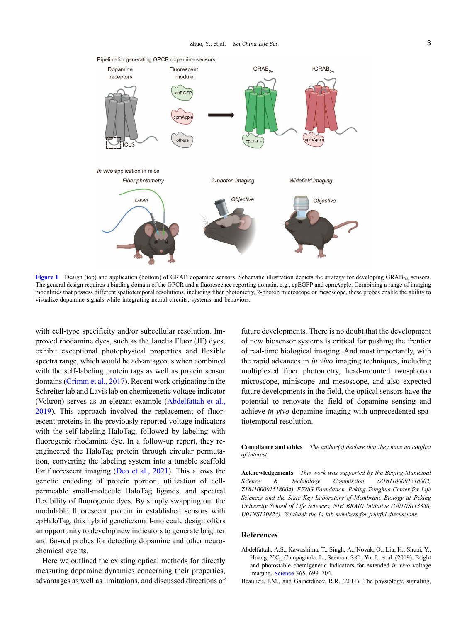

<span id="page-2-0"></span>[Figure](#page-2-0) 1 Design (top) and application (bottom) of GRAB dopamine sensors. Schematic illustration depicts the strategy for developing GRAB<sub>DA</sub> sensors. The general design requires a binding domain of the GPCR and a fluorescence reporting domain, e.g., cpEGFP and cpmApple. Combining a range of imaging modalities that possess different spatiotemporal resolutions, including fiber photometry, 2-photon microscope or mesoscope, these probes enable the ability to visualize dopamine signals while integrating neural circuits, systems and behaviors.

with cell-type specificity and/or subcellular resolution. Improved rhodamine dyes, such as the Janelia Fluor (JF) dyes, exhibit exceptional photophysical properties and flexible spectra range, which would be advantageous when combined with the self-labeling protein tags as well as protein sensor domains ([Grimm](#page-3-8) et al., 2017). Recent work originating in the Schreiter lab and Lavis lab on chemigenetic voltage indicator (Voltron) serves as an elegant example [\(Abdelfattah](#page-2-1) et al., [2019](#page-2-1)). This approach involved the replacement of fluorescent proteins in the previously reported voltage indicators with the self-labeling HaloTag, followed by labeling with fluorogenic rhodamine dye. In a follow-up report, they reengineered the HaloTag protein through circular permutation, converting the labeling system into a tunable scaffold for fluorescent imaging (Deo et al., [2021\)](#page-3-9). This allows the genetic encoding of protein portion, utilization of cellpermeable small-molecule HaloTag ligands, and spectral flexibility of fluorogenic dyes. By simply swapping out the modulable fluorescent protein in established sensors with cpHaloTag, this hybrid genetic/small-molecule design offers an opportunity to develop new indicators to generate brighter and far-red probes for detecting dopamine and other neurochemical events.

Here we outlined the existing optical methods for directly measuring dopamine dynamics concerning their properties, advantages as well as limitations, and discussed directions of future developments. There is no doubt that the development of new biosensor systems is critical for pushing the frontier of real-time biological imaging. And most importantly, with the rapid advances in *in vivo* imaging techniques, including multiplexed fiber photometry, head-mounted two-photon microscope, miniscope and mesoscope, and also expected future developments in the field, the optical sensors have the potential to renovate the field of dopamine sensing and achieve *in vivo* dopamine imaging with unprecedented spatiotemporal resolution.

**Compliance and ethics** *The author(s) declare that they have no conflict of interest.*

**Acknowledgements** *This work was supported by the Beijing Municipal Science & Technology Commission (Z181100001318002, Z181100001518004), FENG Foundation, Peking-Tsinghua Center for Life Sciences and the State Key Laboratory of Membrane Biology at Peking University School of Life Sciences, NIH BRAIN Initiative (U01NS113358, U01NS120824). We thank the Li lab members for fruitful discussions.*

## **References**

- <span id="page-2-1"></span>Abdelfattah, A.S., Kawashima, T., Singh, A., Novak, O., Liu, H., Shuai, Y., Huang, Y.C., Campagnola, L., Seeman, S.C., Yu, J., et al. (2019). Bright and photostable chemigenetic indicators for extended *in vivo* voltage imaging. [Science](https://doi.org/10.1126/science.aav6416) 365, 699–704.
- Beaulieu, J.M., and Gainetdinov, R.R. (2011). The physiology, signaling,